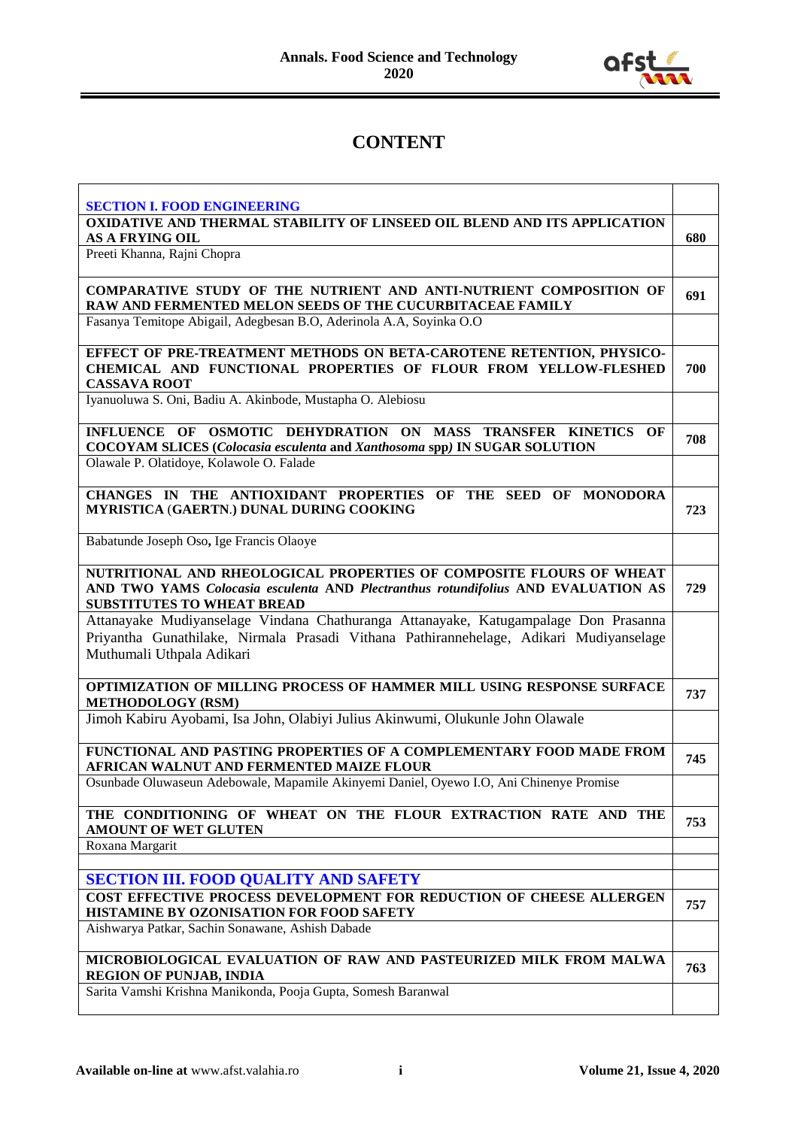

## **CONTENT**

| <b>SECTION I. FOOD ENGINEERING</b>                                                                                                      |     |
|-----------------------------------------------------------------------------------------------------------------------------------------|-----|
| OXIDATIVE AND THERMAL STABILITY OF LINSEED OIL BLEND AND ITS APPLICATION                                                                |     |
| <b>AS A FRYING OIL</b>                                                                                                                  | 680 |
| Preeti Khanna, Rajni Chopra                                                                                                             |     |
|                                                                                                                                         |     |
| COMPARATIVE STUDY OF THE NUTRIENT AND ANTI-NUTRIENT COMPOSITION OF                                                                      | 691 |
| RAW AND FERMENTED MELON SEEDS OF THE CUCURBITACEAE FAMILY                                                                               |     |
| Fasanya Temitope Abigail, Adegbesan B.O, Aderinola A.A, Soyinka O.O                                                                     |     |
|                                                                                                                                         |     |
| EFFECT OF PRE-TREATMENT METHODS ON BETA-CAROTENE RETENTION, PHYSICO-<br>CHEMICAL AND FUNCTIONAL PROPERTIES OF FLOUR FROM YELLOW-FLESHED |     |
| <b>CASSAVA ROOT</b>                                                                                                                     | 700 |
| Iyanuoluwa S. Oni, Badiu A. Akinbode, Mustapha O. Alebiosu                                                                              |     |
|                                                                                                                                         |     |
| INFLUENCE OF OSMOTIC DEHYDRATION ON MASS TRANSFER KINETICS OF                                                                           |     |
| COCOYAM SLICES (Colocasia esculenta and Xanthosoma spp) IN SUGAR SOLUTION                                                               | 708 |
| Olawale P. Olatidoye, Kolawole O. Falade                                                                                                |     |
|                                                                                                                                         |     |
| CHANGES IN THE ANTIOXIDANT PROPERTIES OF THE SEED OF MONODORA<br>MYRISTICA (GAERTN.) DUNAL DURING COOKING                               |     |
|                                                                                                                                         | 723 |
| Babatunde Joseph Oso, Ige Francis Olaoye                                                                                                |     |
|                                                                                                                                         |     |
| NUTRITIONAL AND RHEOLOGICAL PROPERTIES OF COMPOSITE FLOURS OF WHEAT                                                                     |     |
| AND TWO YAMS Colocasia esculenta AND Plectranthus rotundifolius AND EVALUATION AS                                                       | 729 |
| <b>SUBSTITUTES TO WHEAT BREAD</b>                                                                                                       |     |
| Attanayake Mudiyanselage Vindana Chathuranga Attanayake, Katugampalage Don Prasanna                                                     |     |
| Priyantha Gunathilake, Nirmala Prasadi Vithana Pathirannehelage, Adikari Mudiyanselage                                                  |     |
| Muthumali Uthpala Adikari                                                                                                               |     |
| OPTIMIZATION OF MILLING PROCESS OF HAMMER MILL USING RESPONSE SURFACE                                                                   |     |
| <b>METHODOLOGY (RSM)</b>                                                                                                                | 737 |
| Jimoh Kabiru Ayobami, Isa John, Olabiyi Julius Akinwumi, Olukunle John Olawale                                                          |     |
|                                                                                                                                         |     |
| FUNCTIONAL AND PASTING PROPERTIES OF A COMPLEMENTARY FOOD MADE FROM                                                                     | 745 |
| AFRICAN WALNUT AND FERMENTED MAIZE FLOUR                                                                                                |     |
| Osunbade Oluwaseun Adebowale, Mapamile Akinyemi Daniel, Oyewo I.O, Ani Chinenye Promise                                                 |     |
| THE CONDITIONING OF WHEAT ON THE FLOUR EXTRACTION RATE AND THE                                                                          |     |
| <b>AMOUNT OF WET GLUTEN</b>                                                                                                             | 753 |
| Roxana Margarit                                                                                                                         |     |
|                                                                                                                                         |     |
| <b>SECTION III. FOOD QUALITY AND SAFETY</b>                                                                                             |     |
| COST EFFECTIVE PROCESS DEVELOPMENT FOR REDUCTION OF CHEESE ALLERGEN                                                                     |     |
| HISTAMINE BY OZONISATION FOR FOOD SAFETY                                                                                                | 757 |
| Aishwarya Patkar, Sachin Sonawane, Ashish Dabade                                                                                        |     |
|                                                                                                                                         |     |
| MICROBIOLOGICAL EVALUATION OF RAW AND PASTEURIZED MILK FROM MALWA<br><b>REGION OF PUNJAB, INDIA</b>                                     | 763 |
| Sarita Vamshi Krishna Manikonda, Pooja Gupta, Somesh Baranwal                                                                           |     |
|                                                                                                                                         |     |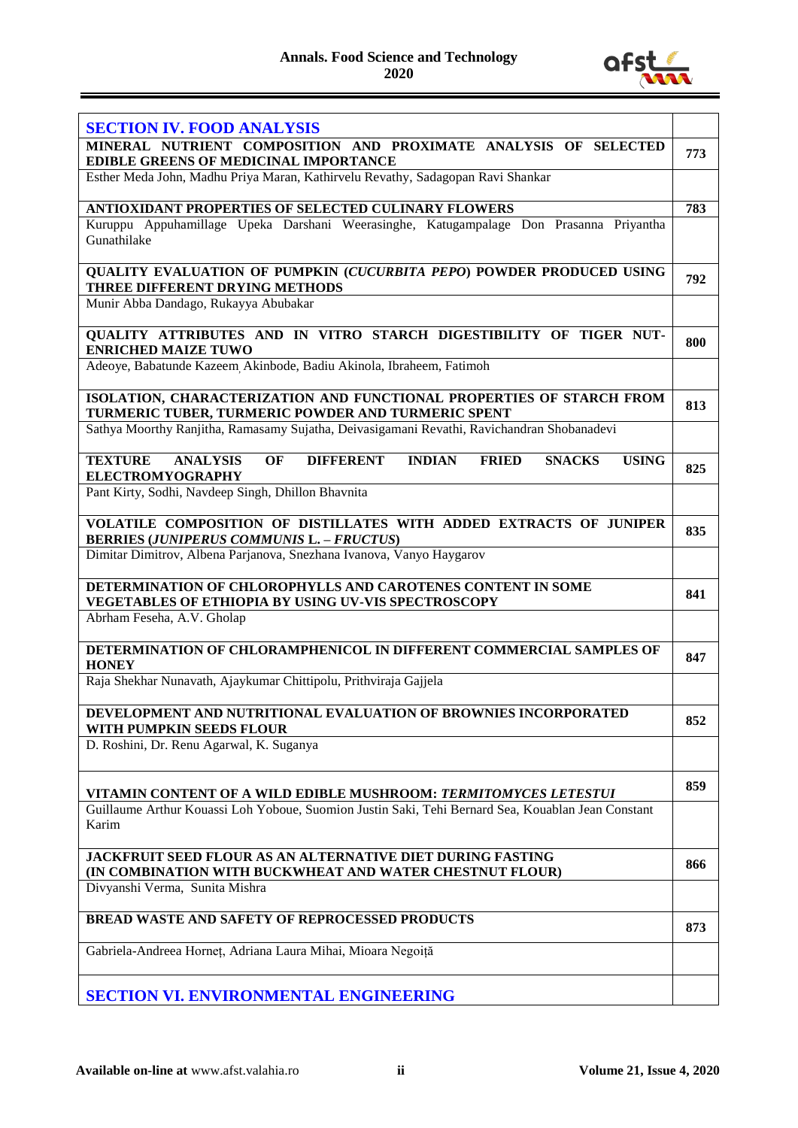

| <b>SECTION IV. FOOD ANALYSIS</b>                                                                                                                                                |     |
|---------------------------------------------------------------------------------------------------------------------------------------------------------------------------------|-----|
| MINERAL NUTRIENT COMPOSITION AND PROXIMATE ANALYSIS OF SELECTED                                                                                                                 | 773 |
| <b>EDIBLE GREENS OF MEDICINAL IMPORTANCE</b><br>Esther Meda John, Madhu Priya Maran, Kathirvelu Revathy, Sadagopan Ravi Shankar                                                 |     |
|                                                                                                                                                                                 |     |
| ANTIOXIDANT PROPERTIES OF SELECTED CULINARY FLOWERS<br>Kuruppu Appuhamillage Upeka Darshani Weerasinghe, Katugampalage Don Prasanna Priyantha                                   | 783 |
| Gunathilake                                                                                                                                                                     |     |
| QUALITY EVALUATION OF PUMPKIN (CUCURBITA PEPO) POWDER PRODUCED USING<br>THREE DIFFERENT DRYING METHODS                                                                          | 792 |
| Munir Abba Dandago, Rukayya Abubakar                                                                                                                                            |     |
| QUALITY ATTRIBUTES AND IN VITRO STARCH DIGESTIBILITY OF TIGER NUT-<br><b>ENRICHED MAIZE TUWO</b>                                                                                | 800 |
| Adeoye, Babatunde Kazeem Akinbode, Badiu Akinola, Ibraheem, Fatimoh                                                                                                             |     |
| ISOLATION, CHARACTERIZATION AND FUNCTIONAL PROPERTIES OF STARCH FROM<br>TURMERIC TUBER, TURMERIC POWDER AND TURMERIC SPENT                                                      | 813 |
| Sathya Moorthy Ranjitha, Ramasamy Sujatha, Deivasigamani Revathi, Ravichandran Shobanadevi                                                                                      |     |
| DIFFERENT INDIAN<br><b>TEXTURE</b><br><b>ANALYSIS</b><br><b>FRIED</b><br><b>SNACKS</b><br><b>USING</b><br>OF<br><b>ELECTROMYOGRAPHY</b>                                         | 825 |
| Pant Kirty, Sodhi, Navdeep Singh, Dhillon Bhavnita                                                                                                                              |     |
| VOLATILE COMPOSITION OF DISTILLATES WITH ADDED EXTRACTS OF JUNIPER<br><b>BERRIES (JUNIPERUS COMMUNIS L. - FRUCTUS)</b>                                                          | 835 |
| Dimitar Dimitrov, Albena Parjanova, Snezhana Ivanova, Vanyo Haygarov                                                                                                            |     |
| DETERMINATION OF CHLOROPHYLLS AND CAROTENES CONTENT IN SOME<br>VEGETABLES OF ETHIOPIA BY USING UV-VIS SPECTROSCOPY                                                              | 841 |
| Abrham Feseha, A.V. Gholap                                                                                                                                                      |     |
| DETERMINATION OF CHLORAMPHENICOL IN DIFFERENT COMMERCIAL SAMPLES OF<br><b>HONEY</b>                                                                                             | 847 |
| Raja Shekhar Nunavath, Ajaykumar Chittipolu, Prithviraja Gajjela                                                                                                                |     |
| DEVELOPMENT AND NUTRITIONAL EVALUATION OF BROWNIES INCORPORATED<br>WITH PUMPKIN SEEDS FLOUR                                                                                     | 852 |
| D. Roshini, Dr. Renu Agarwal, K. Suganya                                                                                                                                        |     |
|                                                                                                                                                                                 |     |
| VITAMIN CONTENT OF A WILD EDIBLE MUSHROOM: TERMITOMYCES LETESTUI<br>Guillaume Arthur Kouassi Loh Yoboue, Suomion Justin Saki, Tehi Bernard Sea, Kouablan Jean Constant<br>Karim | 859 |
| <b>JACKFRUIT SEED FLOUR AS AN ALTERNATIVE DIET DURING FASTING</b>                                                                                                               | 866 |
| (IN COMBINATION WITH BUCKWHEAT AND WATER CHESTNUT FLOUR)<br>Divyanshi Verma, Sunita Mishra                                                                                      |     |
| <b>BREAD WASTE AND SAFETY OF REPROCESSED PRODUCTS</b>                                                                                                                           | 873 |
| Gabriela-Andreea Horneț, Adriana Laura Mihai, Mioara Negoiță                                                                                                                    |     |
| <b>SECTION VI. ENVIRONMENTAL ENGINEERING</b>                                                                                                                                    |     |